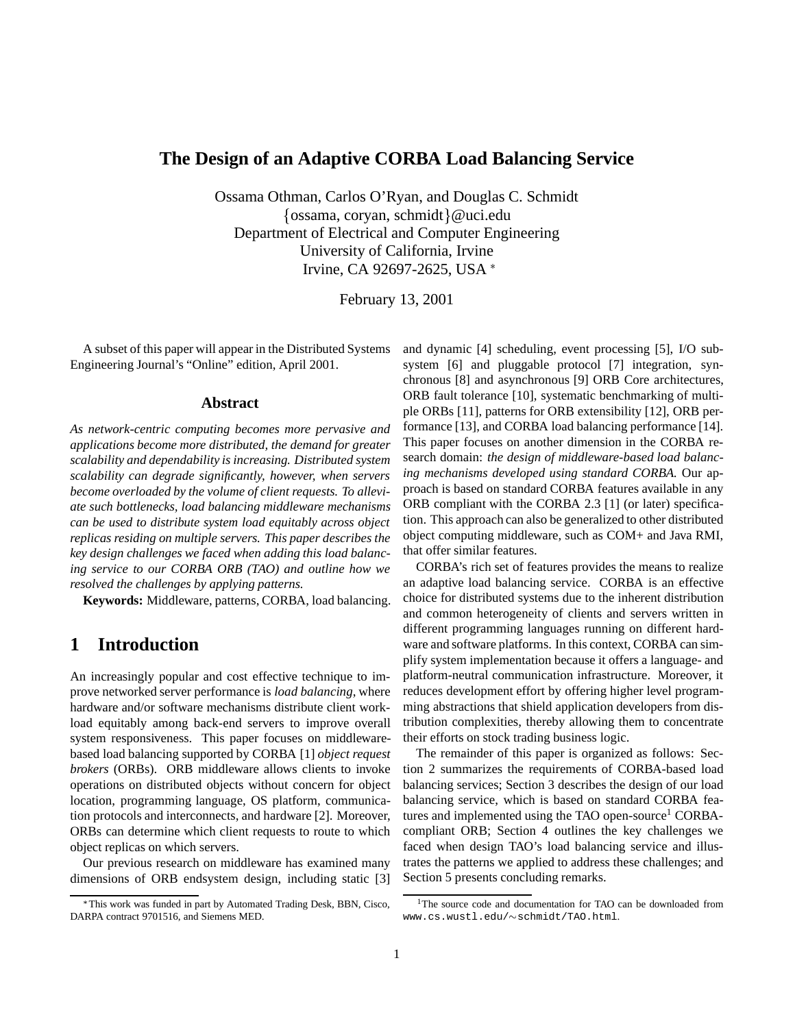### **The Design of an Adaptive CORBA Load Balancing Service**

Ossama Othman, Carlos O'Ryan, and Douglas C. Schmidt  $\{\oslash$ ssama, coryan, schmidt $\}\omega$ uci.edu Department of Electrical and Computer Engineering University of California, Irvine Irvine, CA 92697-2625, USA \*

February 13, 2001

A subset of this paper will appear in the Distributed Systems Engineering Journal's "Online" edition, April 2001.

#### **Abstract**

*As network-centric computing becomes more pervasive and applications become more distributed, the demand for greater scalability and dependability is increasing. Distributed system scalability can degrade significantly, however, when servers become overloaded by the volume of client requests. To alleviate such bottlenecks, load balancing middleware mechanisms can be used to distribute system load equitably across object replicas residing on multiple servers. This paper describes the key design challenges we faced when adding this load balancing service to our CORBA ORB (TAO) and outline how we resolved the challenges by applying patterns.*

**Keywords:** Middleware, patterns, CORBA, load balancing.

## **1 Introduction**

An increasingly popular and cost effective technique to improve networked server performance is *load balancing*, where hardware and/or software mechanisms distribute client workload equitably among back-end servers to improve overall system responsiveness. This paper focuses on middlewarebased load balancing supported by CORBA [1] *object request brokers* (ORBs). ORB middleware allows clients to invoke operations on distributed objects without concern for object location, programming language, OS platform, communication protocols and interconnects, and hardware [2]. Moreover, ORBs can determine which client requests to route to which object replicas on which servers.

Our previous research on middleware has examined many dimensions of ORB endsystem design, including static [3] and dynamic [4] scheduling, event processing [5], I/O subsystem [6] and pluggable protocol [7] integration, synchronous [8] and asynchronous [9] ORB Core architectures, ORB fault tolerance [10], systematic benchmarking of multiple ORBs [11], patterns for ORB extensibility [12], ORB performance [13], and CORBA load balancing performance [14]. This paper focuses on another dimension in the CORBA research domain: *the design of middleware-based load balancing mechanisms developed using standard CORBA.* Our approach is based on standard CORBA features available in any ORB compliant with the CORBA 2.3 [1] (or later) specification. This approach can also be generalized to other distributed object computing middleware, such as COM+ and Java RMI, that offer similar features.

CORBA's rich set of features provides the means to realize an adaptive load balancing service. CORBA is an effective choice for distributed systems due to the inherent distribution and common heterogeneity of clients and servers written in different programming languages running on different hardware and software platforms. In this context, CORBA can simplify system implementation because it offers a language- and platform-neutral communication infrastructure. Moreover, it reduces development effort by offering higher level programming abstractions that shield application developers from distribution complexities, thereby allowing them to concentrate their efforts on stock trading business logic.

The remainder of this paper is organized as follows: Section 2 summarizes the requirements of CORBA-based load balancing services; Section 3 describes the design of our load balancing service, which is based on standard CORBA features and implemented using the TAO open-source<sup>1</sup> CORBAcompliant ORB; Section 4 outlines the key challenges we faced when design TAO's load balancing service and illustrates the patterns we applied to address these challenges; and Section 5 presents concluding remarks.

This work was funded in part by Automated Trading Desk, BBN, Cisco, DARPA contract 9701516, and Siemens MED.

<sup>&</sup>lt;sup>1</sup>The source code and documentation for TAO can be downloaded from www.cs.wustl.edu/~schmidt/TAO.html.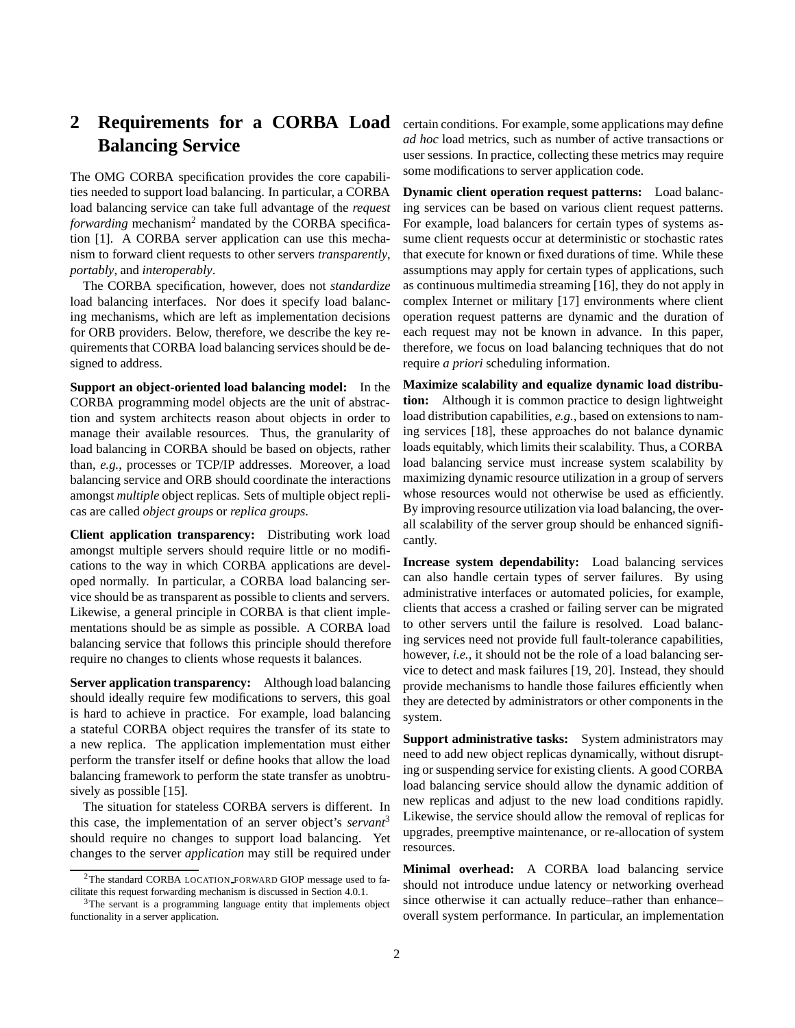# 2 **Requirements for a CORBA Load** certain conditions. For example, some applications may define **Balancing Service**

The OMG CORBA specification provides the core capabilities needed to support load balancing. In particular, a CORBA load balancing service can take full advantage of the *request forwarding* mechanism<sup>2</sup> mandated by the CORBA specification [1]. A CORBA server application can use this mechanism to forward client requests to other servers *transparently*, *portably*, and *interoperably*.

The CORBA specification, however, does not *standardize* load balancing interfaces. Nor does it specify load balancing mechanisms, which are left as implementation decisions for ORB providers. Below, therefore, we describe the key requirements that CORBA load balancing services should be designed to address.

**Support an object-oriented load balancing model:** In the CORBA programming model objects are the unit of abstraction and system architects reason about objects in order to manage their available resources. Thus, the granularity of load balancing in CORBA should be based on objects, rather than, *e.g.*, processes or TCP/IP addresses. Moreover, a load balancing service and ORB should coordinate the interactions amongst *multiple* object replicas. Sets of multiple object replicas are called *object groups* or *replica groups*.

**Client application transparency:** Distributing work load amongst multiple servers should require little or no modifications to the way in which CORBA applications are developed normally. In particular, a CORBA load balancing service should be as transparent as possible to clients and servers. Likewise, a general principle in CORBA is that client implementations should be as simple as possible. A CORBA load balancing service that follows this principle should therefore require no changes to clients whose requests it balances.

**Server application transparency:** Although load balancing should ideally require few modifications to servers, this goal is hard to achieve in practice. For example, load balancing a stateful CORBA object requires the transfer of its state to a new replica. The application implementation must either perform the transfer itself or define hooks that allow the load balancing framework to perform the state transfer as unobtrusively as possible [15].

The situation for stateless CORBA servers is different. In this case, the implementation of an server object's *servant*<sup>3</sup> should require no changes to support load balancing. Yet changes to the server *application* may still be required under

*ad hoc* load metrics, such as number of active transactions or user sessions. In practice, collecting these metrics may require some modifications to server application code.

**Dynamic client operation request patterns:** Load balancing services can be based on various client request patterns. For example, load balancers for certain types of systems assume client requests occur at deterministic or stochastic rates that execute for known or fixed durations of time. While these assumptions may apply for certain types of applications, such as continuous multimedia streaming [16], they do not apply in complex Internet or military [17] environments where client operation request patterns are dynamic and the duration of each request may not be known in advance. In this paper, therefore, we focus on load balancing techniques that do not require *a priori* scheduling information.

**Maximize scalability and equalize dynamic load distribution:** Although it is common practice to design lightweight load distribution capabilities, *e.g.*, based on extensions to naming services [18], these approaches do not balance dynamic loads equitably, which limits their scalability. Thus, a CORBA load balancing service must increase system scalability by maximizing dynamic resource utilization in a group of servers whose resources would not otherwise be used as efficiently. By improving resource utilization via load balancing, the overall scalability of the server group should be enhanced significantly.

**Increase system dependability:** Load balancing services can also handle certain types of server failures. By using administrative interfaces or automated policies, for example, clients that access a crashed or failing server can be migrated to other servers until the failure is resolved. Load balancing services need not provide full fault-tolerance capabilities, however, *i.e.*, it should not be the role of a load balancing service to detect and mask failures [19, 20]. Instead, they should provide mechanisms to handle those failures efficiently when they are detected by administrators or other components in the system.

**Support administrative tasks:** System administrators may need to add new object replicas dynamically, without disrupting or suspending service for existing clients. A good CORBA load balancing service should allow the dynamic addition of new replicas and adjust to the new load conditions rapidly. Likewise, the service should allow the removal of replicas for upgrades, preemptive maintenance, or re-allocation of system resources.

**Minimal overhead:** A CORBA load balancing service should not introduce undue latency or networking overhead since otherwise it can actually reduce–rather than enhance– overall system performance. In particular, an implementation

<sup>&</sup>lt;sup>2</sup>The standard CORBA LOCATION FORWARD GIOP message used to facilitate this request forwarding mechanism is discussed in Section 4.0.1.

<sup>&</sup>lt;sup>3</sup>The servant is a programming language entity that implements object functionality in a server application.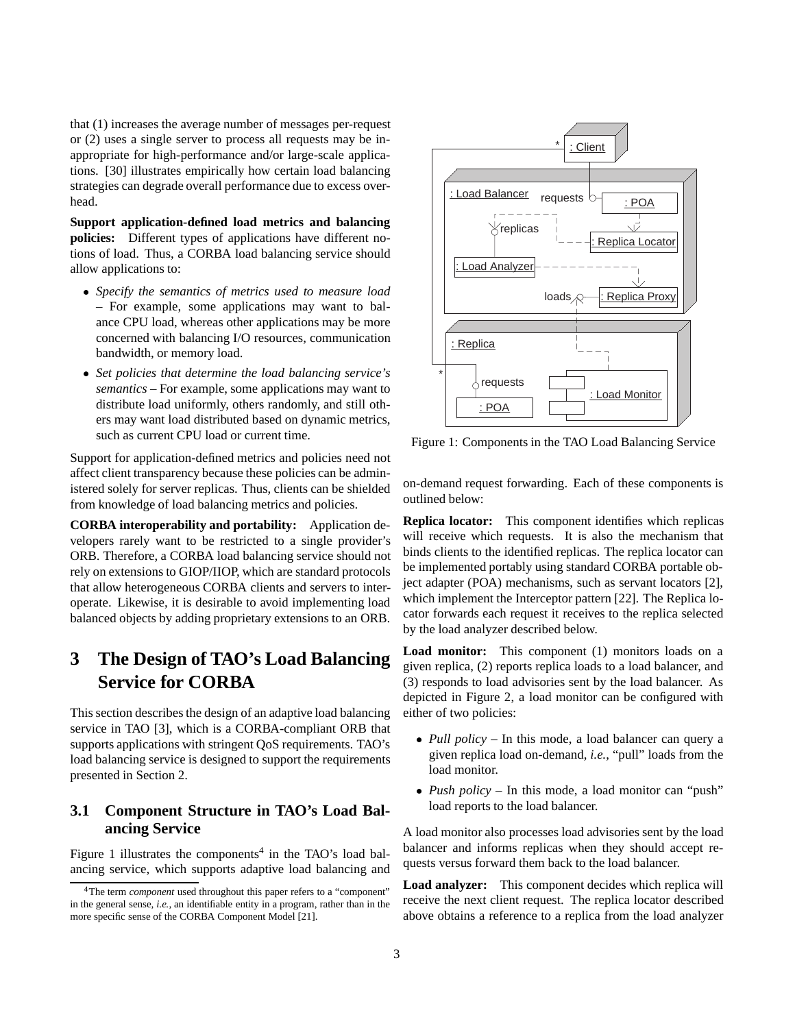that (1) increases the average number of messages per-request or (2) uses a single server to process all requests may be inappropriate for high-performance and/or large-scale applications. [30] illustrates empirically how certain load balancing strategies can degrade overall performance due to excess overhead.

**Support application-defined load metrics and balancing policies:** Different types of applications have different notions of load. Thus, a CORBA load balancing service should allow applications to:

- *Specify the semantics of metrics used to measure load* – For example, some applications may want to balance CPU load, whereas other applications may be more concerned with balancing I/O resources, communication bandwidth, or memory load.
- *Set policies that determine the load balancing service's semantics* – For example, some applications may want to distribute load uniformly, others randomly, and still others may want load distributed based on dynamic metrics, such as current CPU load or current time.

Support for application-defined metrics and policies need not affect client transparency because these policies can be administered solely for server replicas. Thus, clients can be shielded from knowledge of load balancing metrics and policies.

**CORBA interoperability and portability:** Application developers rarely want to be restricted to a single provider's ORB. Therefore, a CORBA load balancing service should not rely on extensions to GIOP/IIOP, which are standard protocols that allow heterogeneous CORBA clients and servers to interoperate. Likewise, it is desirable to avoid implementing load balanced objects by adding proprietary extensions to an ORB.

# **3 The Design of TAO's Load Balancing Service for CORBA**

This section describes the design of an adaptive load balancing service in TAO [3], which is a CORBA-compliant ORB that supports applications with stringent QoS requirements. TAO's load balancing service is designed to support the requirements presented in Section 2.

## **3.1 Component Structure in TAO's Load Balancing Service**

Figure 1 illustrates the components<sup>4</sup> in the TAO's load balancing service, which supports adaptive load balancing and



Figure 1: Components in the TAO Load Balancing Service

on-demand request forwarding. Each of these components is outlined below:

**Replica locator:** This component identifies which replicas will receive which requests. It is also the mechanism that binds clients to the identified replicas. The replica locator can be implemented portably using standard CORBA portable object adapter (POA) mechanisms, such as servant locators [2], which implement the Interceptor pattern [22]. The Replica locator forwards each request it receives to the replica selected by the load analyzer described below.

**Load monitor:** This component (1) monitors loads on a given replica, (2) reports replica loads to a load balancer, and (3) responds to load advisories sent by the load balancer. As depicted in Figure 2, a load monitor can be configured with either of two policies:

- *Pull policy* In this mode, a load balancer can query a given replica load on-demand, *i.e.*, "pull" loads from the load monitor.
- *Push policy* In this mode, a load monitor can "push" load reports to the load balancer.

A load monitor also processes load advisories sent by the load balancer and informs replicas when they should accept requests versus forward them back to the load balancer.

**Load analyzer:** This component decides which replica will receive the next client request. The replica locator described above obtains a reference to a replica from the load analyzer

<sup>&</sup>lt;sup>4</sup>The term *component* used throughout this paper refers to a "component" in the general sense, *i.e.*, an identifiable entity in a program, rather than in the more specific sense of the CORBA Component Model [21].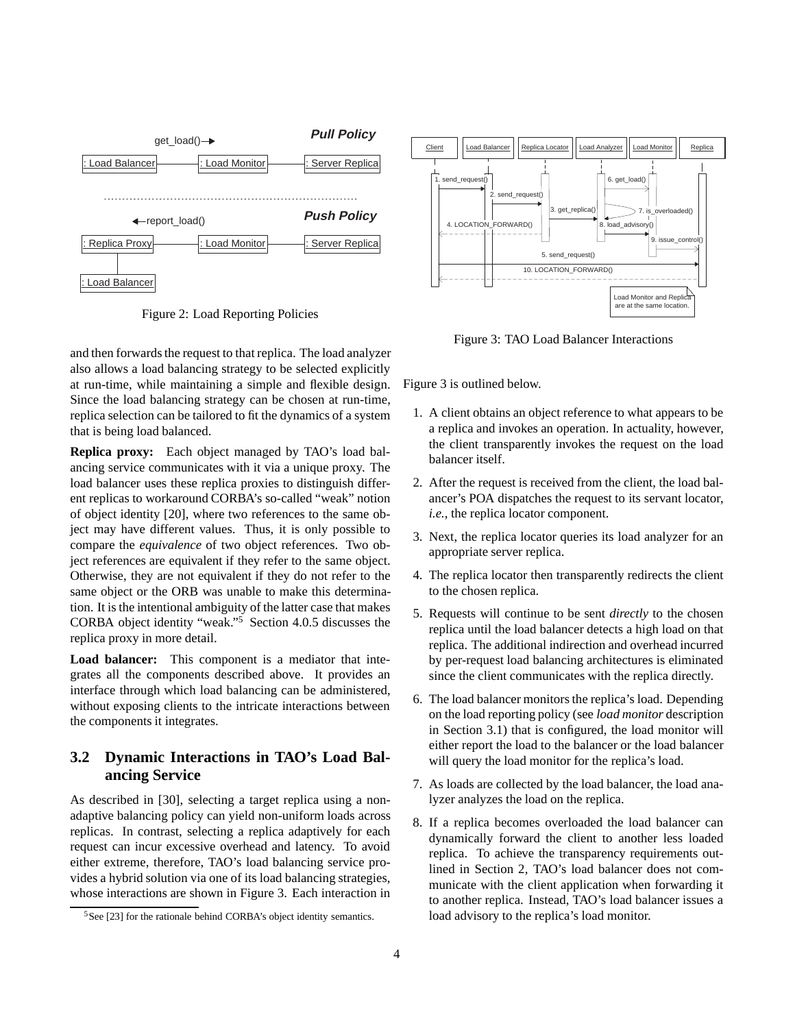

Figure 2: Load Reporting Policies

and then forwards the request to that replica. The load analyzer also allows a load balancing strategy to be selected explicitly at run-time, while maintaining a simple and flexible design. Since the load balancing strategy can be chosen at run-time, replica selection can be tailored to fit the dynamics of a system that is being load balanced.

**Replica proxy:** Each object managed by TAO's load balancing service communicates with it via a unique proxy. The load balancer uses these replica proxies to distinguish different replicas to workaround CORBA's so-called "weak" notion of object identity [20], where two references to the same object may have different values. Thus, it is only possible to compare the *equivalence* of two object references. Two object references are equivalent if they refer to the same object. Otherwise, they are not equivalent if they do not refer to the same object or the ORB was unable to make this determination. It is the intentional ambiguity of the latter case that makes CORBA object identity "weak."<sup>5</sup> Section 4.0.5 discusses the replica proxy in more detail.

**Load balancer:** This component is a mediator that integrates all the components described above. It provides an interface through which load balancing can be administered, without exposing clients to the intricate interactions between the components it integrates.

### **3.2 Dynamic Interactions in TAO's Load Balancing Service**

As described in [30], selecting a target replica using a nonadaptive balancing policy can yield non-uniform loads across replicas. In contrast, selecting a replica adaptively for each request can incur excessive overhead and latency. To avoid either extreme, therefore, TAO's load balancing service provides a hybrid solution via one of its load balancing strategies, whose interactions are shown in Figure 3. Each interaction in



Figure 3: TAO Load Balancer Interactions

Figure 3 is outlined below.

- 1. A client obtains an object reference to what appears to be a replica and invokes an operation. In actuality, however, the client transparently invokes the request on the load balancer itself.
- 2. After the request is received from the client, the load balancer's POA dispatches the request to its servant locator, *i.e.*, the replica locator component.
- 3. Next, the replica locator queries its load analyzer for an appropriate server replica.
- 4. The replica locator then transparently redirects the client to the chosen replica.
- 5. Requests will continue to be sent *directly* to the chosen replica until the load balancer detects a high load on that replica. The additional indirection and overhead incurred by per-request load balancing architectures is eliminated since the client communicates with the replica directly.
- 6. The load balancer monitors the replica's load. Depending on the load reporting policy (see *load monitor* description in Section 3.1) that is configured, the load monitor will either report the load to the balancer or the load balancer will query the load monitor for the replica's load.
- 7. As loads are collected by the load balancer, the load analyzer analyzes the load on the replica.
- 8. If a replica becomes overloaded the load balancer can dynamically forward the client to another less loaded replica. To achieve the transparency requirements outlined in Section 2, TAO's load balancer does not communicate with the client application when forwarding it to another replica. Instead, TAO's load balancer issues a load advisory to the replica's load monitor.

 $5$ See [23] for the rationale behind CORBA's object identity semantics.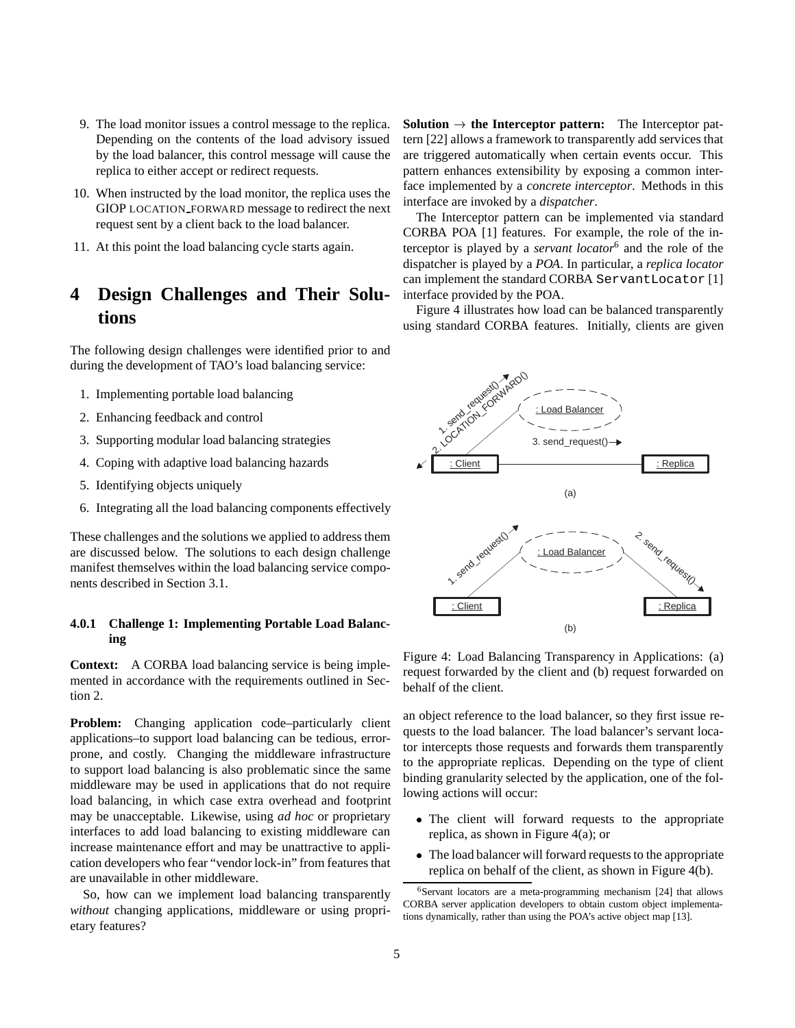- 9. The load monitor issues a control message to the replica. Depending on the contents of the load advisory issued by the load balancer, this control message will cause the replica to either accept or redirect requests.
- 10. When instructed by the load monitor, the replica uses the GIOP LOCATION FORWARD message to redirect the next request sent by a client back to the load balancer.
- 11. At this point the load balancing cycle starts again.

## **4 Design Challenges and Their Solutions**

The following design challenges were identified prior to and during the development of TAO's load balancing service:

- 1. Implementing portable load balancing
- 2. Enhancing feedback and control
- 3. Supporting modular load balancing strategies
- 4. Coping with adaptive load balancing hazards
- 5. Identifying objects uniquely
- 6. Integrating all the load balancing components effectively

These challenges and the solutions we applied to address them are discussed below. The solutions to each design challenge manifest themselves within the load balancing service components described in Section 3.1.

#### **4.0.1 Challenge 1: Implementing Portable Load Balancing**

**Context:** A CORBA load balancing service is being implemented in accordance with the requirements outlined in Section 2.

**Problem:** Changing application code–particularly client applications–to support load balancing can be tedious, errorprone, and costly. Changing the middleware infrastructure to support load balancing is also problematic since the same middleware may be used in applications that do not require load balancing, in which case extra overhead and footprint may be unacceptable. Likewise, using *ad hoc* or proprietary interfaces to add load balancing to existing middleware can increase maintenance effort and may be unattractive to application developers who fear "vendor lock-in" from features that are unavailable in other middleware.

So, how can we implement load balancing transparently *without* changing applications, middleware or using proprietary features?

**Solution**  $\rightarrow$  the Interceptor pattern: The Interceptor pattern [22] allows a framework to transparently add services that are triggered automatically when certain events occur. This pattern enhances extensibility by exposing a common interface implemented by a *concrete interceptor*. Methods in this interface are invoked by a *dispatcher*.

The Interceptor pattern can be implemented via standard CORBA POA [1] features. For example, the role of the interceptor is played by a *servant locator*<sup>6</sup> and the role of the dispatcher is played by a *POA*. In particular, a *replica locator* can implement the standard CORBA ServantLocator [1] interface provided by the POA.

Figure 4 illustrates how load can be balanced transparently using standard CORBA features. Initially, clients are given



Figure 4: Load Balancing Transparency in Applications: (a) request forwarded by the client and (b) request forwarded on behalf of the client.

an object reference to the load balancer, so they first issue requests to the load balancer. The load balancer's servant locator intercepts those requests and forwards them transparently to the appropriate replicas. Depending on the type of client binding granularity selected by the application, one of the following actions will occur:

- The client will forward requests to the appropriate replica, as shown in Figure 4(a); or
- The load balancer will forward requests to the appropriate replica on behalf of the client, as shown in Figure 4(b).

 $6$ Servant locators are a meta-programming mechanism [24] that allows CORBA server application developers to obtain custom object implementations dynamically, rather than using the POA's active object map [13].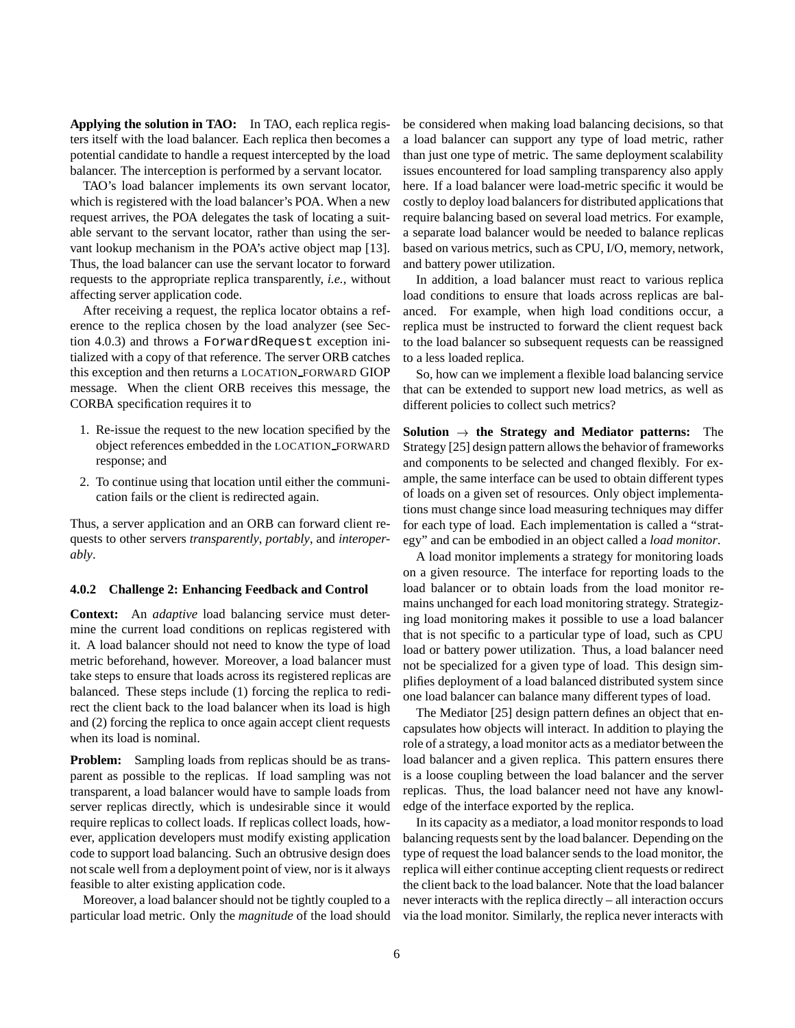**Applying the solution in TAO:** In TAO, each replica registers itself with the load balancer. Each replica then becomes a potential candidate to handle a request intercepted by the load balancer. The interception is performed by a servant locator.

TAO's load balancer implements its own servant locator, which is registered with the load balancer's POA. When a new request arrives, the POA delegates the task of locating a suitable servant to the servant locator, rather than using the servant lookup mechanism in the POA's active object map [13]. Thus, the load balancer can use the servant locator to forward requests to the appropriate replica transparently, *i.e.*, without affecting server application code.

After receiving a request, the replica locator obtains a reference to the replica chosen by the load analyzer (see Section 4.0.3) and throws a ForwardRequest exception initialized with a copy of that reference. The server ORB catches this exception and then returns a LOCATION FORWARD GIOP message. When the client ORB receives this message, the CORBA specification requires it to

- 1. Re-issue the request to the new location specified by the object references embedded in the LOCATION FORWARD response; and
- 2. To continue using that location until either the communication fails or the client is redirected again.

Thus, a server application and an ORB can forward client requests to other servers *transparently*, *portably*, and *interoperably*.

#### **4.0.2 Challenge 2: Enhancing Feedback and Control**

**Context:** An *adaptive* load balancing service must determine the current load conditions on replicas registered with it. A load balancer should not need to know the type of load metric beforehand, however. Moreover, a load balancer must take steps to ensure that loads across its registered replicas are balanced. These steps include (1) forcing the replica to redirect the client back to the load balancer when its load is high and (2) forcing the replica to once again accept client requests when its load is nominal.

**Problem:** Sampling loads from replicas should be as transparent as possible to the replicas. If load sampling was not transparent, a load balancer would have to sample loads from server replicas directly, which is undesirable since it would require replicas to collect loads. If replicas collect loads, however, application developers must modify existing application code to support load balancing. Such an obtrusive design does not scale well from a deployment point of view, nor is it always feasible to alter existing application code.

Moreover, a load balancer should not be tightly coupled to a particular load metric. Only the *magnitude* of the load should be considered when making load balancing decisions, so that a load balancer can support any type of load metric, rather than just one type of metric. The same deployment scalability issues encountered for load sampling transparency also apply here. If a load balancer were load-metric specific it would be costly to deploy load balancers for distributed applications that require balancing based on several load metrics. For example, a separate load balancer would be needed to balance replicas based on various metrics, such as CPU, I/O, memory, network, and battery power utilization.

In addition, a load balancer must react to various replica load conditions to ensure that loads across replicas are balanced. For example, when high load conditions occur, a replica must be instructed to forward the client request back to the load balancer so subsequent requests can be reassigned to a less loaded replica.

So, how can we implement a flexible load balancing service that can be extended to support new load metrics, as well as different policies to collect such metrics?

**Solution**  $\rightarrow$  the Strategy and Mediator patterns: The Strategy [25] design pattern allows the behavior of frameworks and components to be selected and changed flexibly. For example, the same interface can be used to obtain different types of loads on a given set of resources. Only object implementations must change since load measuring techniques may differ for each type of load. Each implementation is called a "strategy" and can be embodied in an object called a *load monitor*.

A load monitor implements a strategy for monitoring loads on a given resource. The interface for reporting loads to the load balancer or to obtain loads from the load monitor remains unchanged for each load monitoring strategy. Strategizing load monitoring makes it possible to use a load balancer that is not specific to a particular type of load, such as CPU load or battery power utilization. Thus, a load balancer need not be specialized for a given type of load. This design simplifies deployment of a load balanced distributed system since one load balancer can balance many different types of load.

The Mediator [25] design pattern defines an object that encapsulates how objects will interact. In addition to playing the role of a strategy, a load monitor acts as a mediator between the load balancer and a given replica. This pattern ensures there is a loose coupling between the load balancer and the server replicas. Thus, the load balancer need not have any knowledge of the interface exported by the replica.

In its capacity as a mediator, a load monitor responds to load balancing requests sent by the load balancer. Depending on the type of request the load balancer sends to the load monitor, the replica will either continue accepting client requests or redirect the client back to the load balancer. Note that the load balancer never interacts with the replica directly – all interaction occurs via the load monitor. Similarly, the replica never interacts with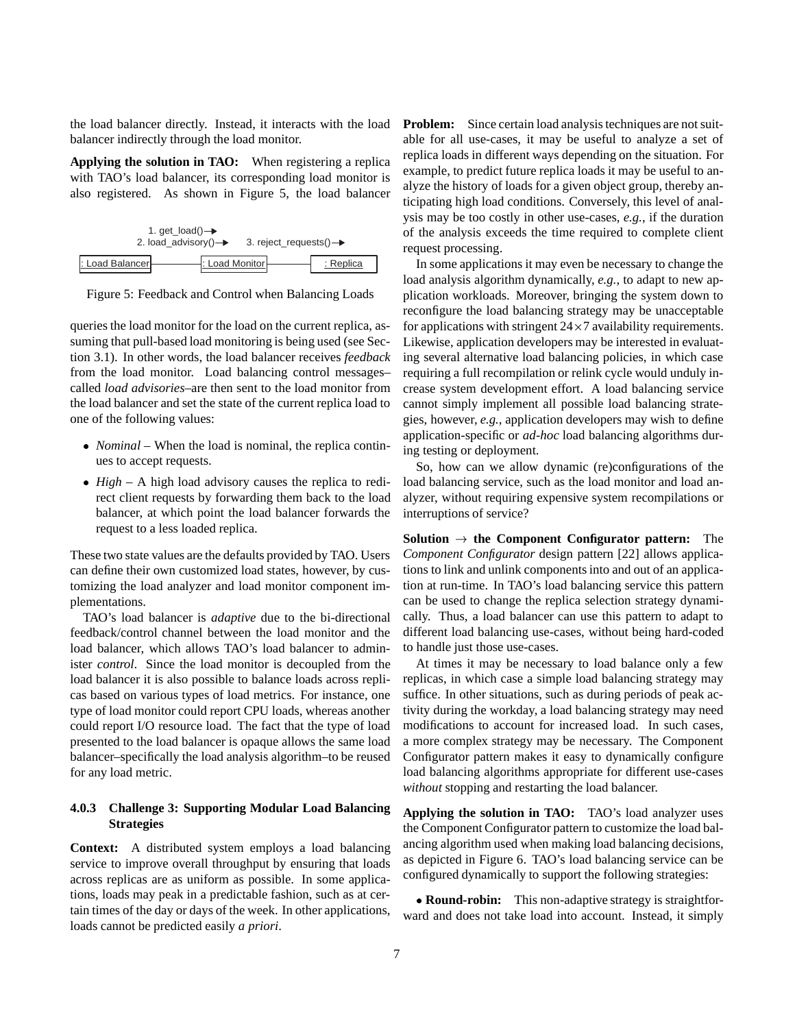the load balancer directly. Instead, it interacts with the load balancer indirectly through the load monitor.

**Applying the solution in TAO:** When registering a replica with TAO's load balancer, its corresponding load monitor is also registered. As shown in Figure 5, the load balancer





queries the load monitor for the load on the current replica, assuming that pull-based load monitoring is being used (see Section 3.1). In other words, the load balancer receives *feedback* from the load monitor. Load balancing control messages– called *load advisories*–are then sent to the load monitor from the load balancer and set the state of the current replica load to one of the following values:

- *Nominal* When the load is nominal, the replica continues to accept requests.
- *High* A high load advisory causes the replica to redirect client requests by forwarding them back to the load balancer, at which point the load balancer forwards the request to a less loaded replica.

These two state values are the defaults provided by TAO. Users can define their own customized load states, however, by customizing the load analyzer and load monitor component implementations.

TAO's load balancer is *adaptive* due to the bi-directional feedback/control channel between the load monitor and the load balancer, which allows TAO's load balancer to administer *control*. Since the load monitor is decoupled from the load balancer it is also possible to balance loads across replicas based on various types of load metrics. For instance, one type of load monitor could report CPU loads, whereas another could report I/O resource load. The fact that the type of load presented to the load balancer is opaque allows the same load balancer–specifically the load analysis algorithm–to be reused for any load metric.

#### **4.0.3 Challenge 3: Supporting Modular Load Balancing Strategies**

**Context:** A distributed system employs a load balancing service to improve overall throughput by ensuring that loads across replicas are as uniform as possible. In some applications, loads may peak in a predictable fashion, such as at certain times of the day or days of the week. In other applications, loads cannot be predicted easily *a priori*.

**Problem:** Since certain load analysis techniques are not suitable for all use-cases, it may be useful to analyze a set of replica loads in different ways depending on the situation. For example, to predict future replica loads it may be useful to analyze the history of loads for a given object group, thereby anticipating high load conditions. Conversely, this level of analysis may be too costly in other use-cases, *e.g.*, if the duration of the analysis exceeds the time required to complete client request processing.

In some applications it may even be necessary to change the load analysis algorithm dynamically, *e.g.*, to adapt to new application workloads. Moreover, bringing the system down to reconfigure the load balancing strategy may be unacceptable for applications with stringent  $24 \times 7$  availability requirements. Likewise, application developers may be interested in evaluating several alternative load balancing policies, in which case requiring a full recompilation or relink cycle would unduly increase system development effort. A load balancing service cannot simply implement all possible load balancing strategies, however, *e.g.*, application developers may wish to define application-specific or *ad-hoc* load balancing algorithms during testing or deployment.

So, how can we allow dynamic (re)configurations of the load balancing service, such as the load monitor and load analyzer, without requiring expensive system recompilations or interruptions of service?

**Solution**  $\rightarrow$  the Component Configurator pattern: The *Component Configurator* design pattern [22] allows applications to link and unlink components into and out of an application at run-time. In TAO's load balancing service this pattern can be used to change the replica selection strategy dynamically. Thus, a load balancer can use this pattern to adapt to different load balancing use-cases, without being hard-coded to handle just those use-cases.

At times it may be necessary to load balance only a few replicas, in which case a simple load balancing strategy may suffice. In other situations, such as during periods of peak activity during the workday, a load balancing strategy may need modifications to account for increased load. In such cases, a more complex strategy may be necessary. The Component Configurator pattern makes it easy to dynamically configure load balancing algorithms appropriate for different use-cases *without* stopping and restarting the load balancer.

**Applying the solution in TAO:** TAO's load analyzer uses the Component Configurator pattern to customize the load balancing algorithm used when making load balancing decisions, as depicted in Figure 6. TAO's load balancing service can be configured dynamically to support the following strategies:

 **Round-robin:** This non-adaptive strategy is straightforward and does not take load into account. Instead, it simply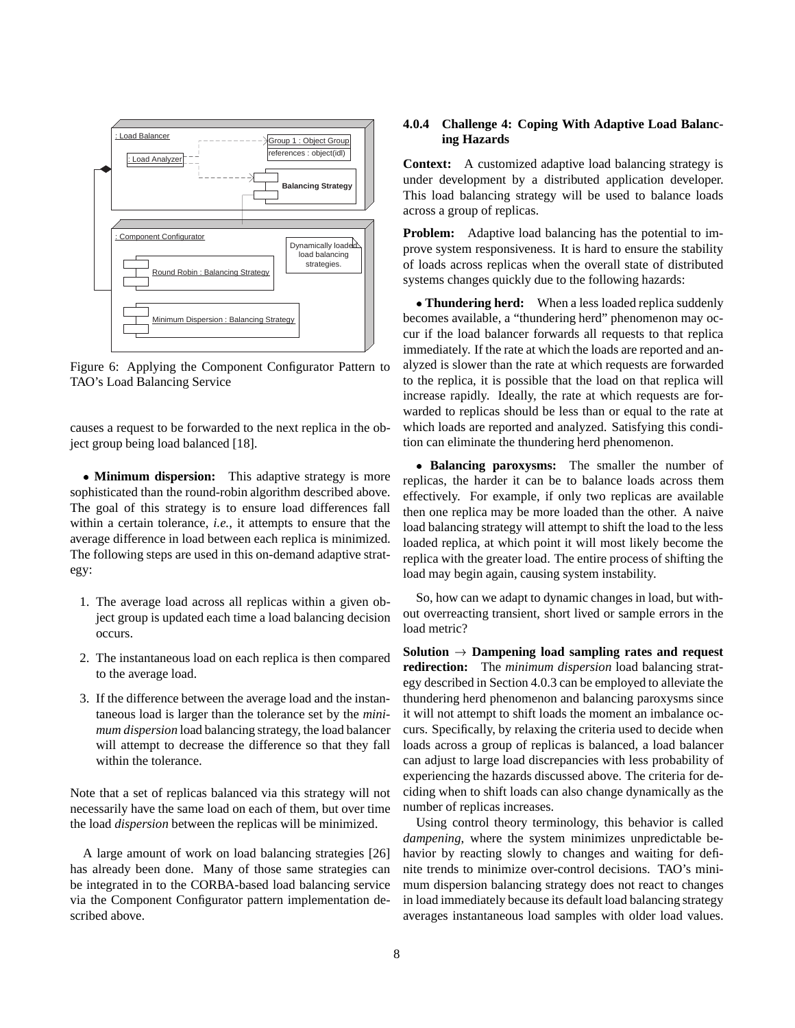

Figure 6: Applying the Component Configurator Pattern to TAO's Load Balancing Service

causes a request to be forwarded to the next replica in the object group being load balanced [18].

• Minimum dispersion: This adaptive strategy is more sophisticated than the round-robin algorithm described above. The goal of this strategy is to ensure load differences fall within a certain tolerance, *i.e.*, it attempts to ensure that the average difference in load between each replica is minimized. The following steps are used in this on-demand adaptive strategy:

- 1. The average load across all replicas within a given object group is updated each time a load balancing decision occurs.
- 2. The instantaneous load on each replica is then compared to the average load.
- 3. If the difference between the average load and the instantaneous load is larger than the tolerance set by the *minimum dispersion* load balancing strategy, the load balancer will attempt to decrease the difference so that they fall within the tolerance.

Note that a set of replicas balanced via this strategy will not necessarily have the same load on each of them, but over time the load *dispersion* between the replicas will be minimized.

A large amount of work on load balancing strategies [26] has already been done. Many of those same strategies can be integrated in to the CORBA-based load balancing service via the Component Configurator pattern implementation described above.

#### **4.0.4 Challenge 4: Coping With Adaptive Load Balancing Hazards**

**Context:** A customized adaptive load balancing strategy is under development by a distributed application developer. This load balancing strategy will be used to balance loads across a group of replicas.

**Problem:** Adaptive load balancing has the potential to improve system responsiveness. It is hard to ensure the stability of loads across replicas when the overall state of distributed systems changes quickly due to the following hazards:

 **Thundering herd:** When a less loaded replica suddenly becomes available, a "thundering herd" phenomenon may occur if the load balancer forwards all requests to that replica immediately. If the rate at which the loads are reported and analyzed is slower than the rate at which requests are forwarded to the replica, it is possible that the load on that replica will increase rapidly. Ideally, the rate at which requests are forwarded to replicas should be less than or equal to the rate at which loads are reported and analyzed. Satisfying this condition can eliminate the thundering herd phenomenon.

 **Balancing paroxysms:** The smaller the number of replicas, the harder it can be to balance loads across them effectively. For example, if only two replicas are available then one replica may be more loaded than the other. A naive load balancing strategy will attempt to shift the load to the less loaded replica, at which point it will most likely become the replica with the greater load. The entire process of shifting the load may begin again, causing system instability.

So, how can we adapt to dynamic changes in load, but without overreacting transient, short lived or sample errors in the load metric?

**Solution**  $\rightarrow$  **Dampening load sampling rates and request redirection:** The *minimum dispersion* load balancing strategy described in Section 4.0.3 can be employed to alleviate the thundering herd phenomenon and balancing paroxysms since it will not attempt to shift loads the moment an imbalance occurs. Specifically, by relaxing the criteria used to decide when loads across a group of replicas is balanced, a load balancer can adjust to large load discrepancies with less probability of experiencing the hazards discussed above. The criteria for deciding when to shift loads can also change dynamically as the number of replicas increases.

Using control theory terminology, this behavior is called *dampening*, where the system minimizes unpredictable behavior by reacting slowly to changes and waiting for definite trends to minimize over-control decisions. TAO's minimum dispersion balancing strategy does not react to changes in load immediately because its default load balancing strategy averages instantaneous load samples with older load values.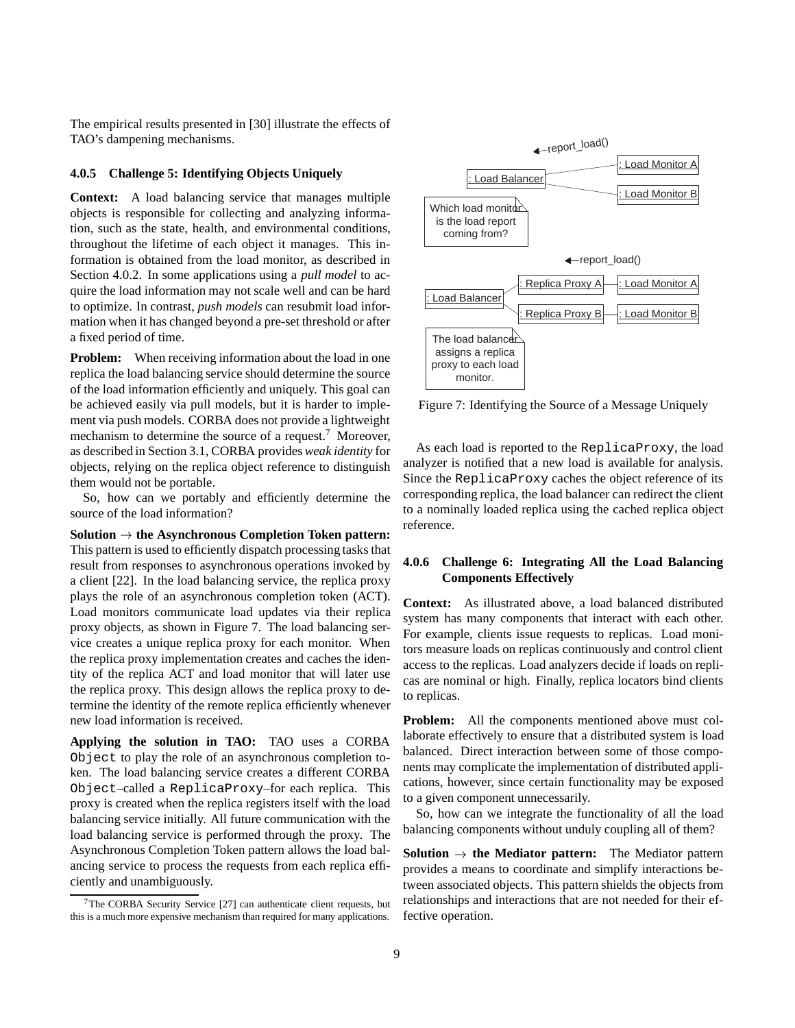The empirical results presented in [30] illustrate the effects of TAO's dampening mechanisms.

#### **4.0.5 Challenge 5: Identifying Objects Uniquely**

**Context:** A load balancing service that manages multiple objects is responsible for collecting and analyzing information, such as the state, health, and environmental conditions, throughout the lifetime of each object it manages. This information is obtained from the load monitor, as described in Section 4.0.2. In some applications using a *pull model* to acquire the load information may not scale well and can be hard to optimize. In contrast, *push models* can resubmit load information when it has changed beyond a pre-set threshold or after a fixed period of time.

**Problem:** When receiving information about the load in one replica the load balancing service should determine the source of the load information efficiently and uniquely. This goal can be achieved easily via pull models, but it is harder to implement via push models. CORBA does not provide a lightweight mechanism to determine the source of a request.7 Moreover, as described in Section 3.1, CORBA provides*weak identity* for objects, relying on the replica object reference to distinguish them would not be portable.

So, how can we portably and efficiently determine the source of the load information?

 $Solution \rightarrow$  the Asynchronous Completion Token pattern: This pattern is used to efficiently dispatch processing tasks that result from responses to asynchronous operations invoked by a client [22]. In the load balancing service, the replica proxy plays the role of an asynchronous completion token (ACT). Load monitors communicate load updates via their replica proxy objects, as shown in Figure 7. The load balancing service creates a unique replica proxy for each monitor. When the replica proxy implementation creates and caches the identity of the replica ACT and load monitor that will later use the replica proxy. This design allows the replica proxy to determine the identity of the remote replica efficiently whenever new load information is received.

**Applying the solution in TAO:** TAO uses a CORBA Object to play the role of an asynchronous completion token. The load balancing service creates a different CORBA Object–called a ReplicaProxy–for each replica. This proxy is created when the replica registers itself with the load balancing service initially. All future communication with the load balancing service is performed through the proxy. The Asynchronous Completion Token pattern allows the load balancing service to process the requests from each replica efficiently and unambiguously.



Figure 7: Identifying the Source of a Message Uniquely

As each load is reported to the ReplicaProxy, the load analyzer is notified that a new load is available for analysis. Since the ReplicaProxy caches the object reference of its corresponding replica, the load balancer can redirect the client to a nominally loaded replica using the cached replica object reference.

#### **4.0.6 Challenge 6: Integrating All the Load Balancing Components Effectively**

**Context:** As illustrated above, a load balanced distributed system has many components that interact with each other. For example, clients issue requests to replicas. Load monitors measure loads on replicas continuously and control client access to the replicas. Load analyzers decide if loads on replicas are nominal or high. Finally, replica locators bind clients to replicas.

**Problem:** All the components mentioned above must collaborate effectively to ensure that a distributed system is load balanced. Direct interaction between some of those components may complicate the implementation of distributed applications, however, since certain functionality may be exposed to a given component unnecessarily.

So, how can we integrate the functionality of all the load balancing components without unduly coupling all of them?

**Solution**  $\rightarrow$  the Mediator pattern: The Mediator pattern provides a means to coordinate and simplify interactions between associated objects. This pattern shields the objects from relationships and interactions that are not needed for their effective operation.

<sup>7</sup>The CORBA Security Service [27] can authenticate client requests, but this is a much more expensive mechanism than required for many applications.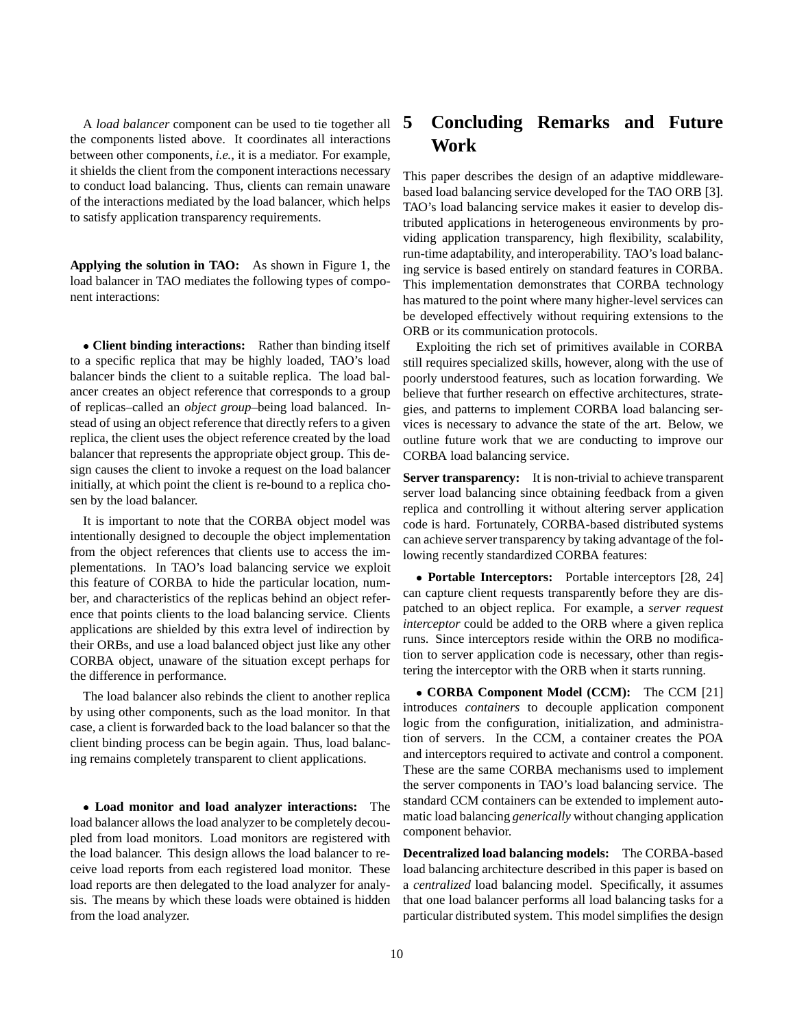A *load balancer* component can be used to tie together all the components listed above. It coordinates all interactions between other components, *i.e.*, it is a mediator. For example, it shields the client from the component interactions necessary to conduct load balancing. Thus, clients can remain unaware of the interactions mediated by the load balancer, which helps to satisfy application transparency requirements.

**Applying the solution in TAO:** As shown in Figure 1, the load balancer in TAO mediates the following types of component interactions:

 **Client binding interactions:** Rather than binding itself to a specific replica that may be highly loaded, TAO's load balancer binds the client to a suitable replica. The load balancer creates an object reference that corresponds to a group of replicas–called an *object group*–being load balanced. Instead of using an object reference that directly refers to a given replica, the client uses the object reference created by the load balancer that represents the appropriate object group. This design causes the client to invoke a request on the load balancer initially, at which point the client is re-bound to a replica chosen by the load balancer.

It is important to note that the CORBA object model was intentionally designed to decouple the object implementation from the object references that clients use to access the implementations. In TAO's load balancing service we exploit this feature of CORBA to hide the particular location, number, and characteristics of the replicas behind an object reference that points clients to the load balancing service. Clients applications are shielded by this extra level of indirection by their ORBs, and use a load balanced object just like any other CORBA object, unaware of the situation except perhaps for the difference in performance.

The load balancer also rebinds the client to another replica by using other components, such as the load monitor. In that case, a client is forwarded back to the load balancer so that the client binding process can be begin again. Thus, load balancing remains completely transparent to client applications.

 **Load monitor and load analyzer interactions:** The load balancer allows the load analyzer to be completely decoupled from load monitors. Load monitors are registered with the load balancer. This design allows the load balancer to receive load reports from each registered load monitor. These load reports are then delegated to the load analyzer for analysis. The means by which these loads were obtained is hidden from the load analyzer.

# **5 Concluding Remarks and Future Work**

This paper describes the design of an adaptive middlewarebased load balancing service developed for the TAO ORB [3]. TAO's load balancing service makes it easier to develop distributed applications in heterogeneous environments by providing application transparency, high flexibility, scalability, run-time adaptability, and interoperability. TAO's load balancing service is based entirely on standard features in CORBA. This implementation demonstrates that CORBA technology has matured to the point where many higher-level services can be developed effectively without requiring extensions to the ORB or its communication protocols.

Exploiting the rich set of primitives available in CORBA still requires specialized skills, however, along with the use of poorly understood features, such as location forwarding. We believe that further research on effective architectures, strategies, and patterns to implement CORBA load balancing services is necessary to advance the state of the art. Below, we outline future work that we are conducting to improve our CORBA load balancing service.

**Server transparency:** It is non-trivial to achieve transparent server load balancing since obtaining feedback from a given replica and controlling it without altering server application code is hard. Fortunately, CORBA-based distributed systems can achieve server transparency by taking advantage of the following recently standardized CORBA features:

 **Portable Interceptors:** Portable interceptors [28, 24] can capture client requests transparently before they are dispatched to an object replica. For example, a *server request interceptor* could be added to the ORB where a given replica runs. Since interceptors reside within the ORB no modification to server application code is necessary, other than registering the interceptor with the ORB when it starts running.

 **CORBA Component Model (CCM):** The CCM [21] introduces *containers* to decouple application component logic from the configuration, initialization, and administration of servers. In the CCM, a container creates the POA and interceptors required to activate and control a component. These are the same CORBA mechanisms used to implement the server components in TAO's load balancing service. The standard CCM containers can be extended to implement automatic load balancing *generically* without changing application component behavior.

**Decentralized load balancing models:** The CORBA-based load balancing architecture described in this paper is based on a *centralized* load balancing model. Specifically, it assumes that one load balancer performs all load balancing tasks for a particular distributed system. This model simplifies the design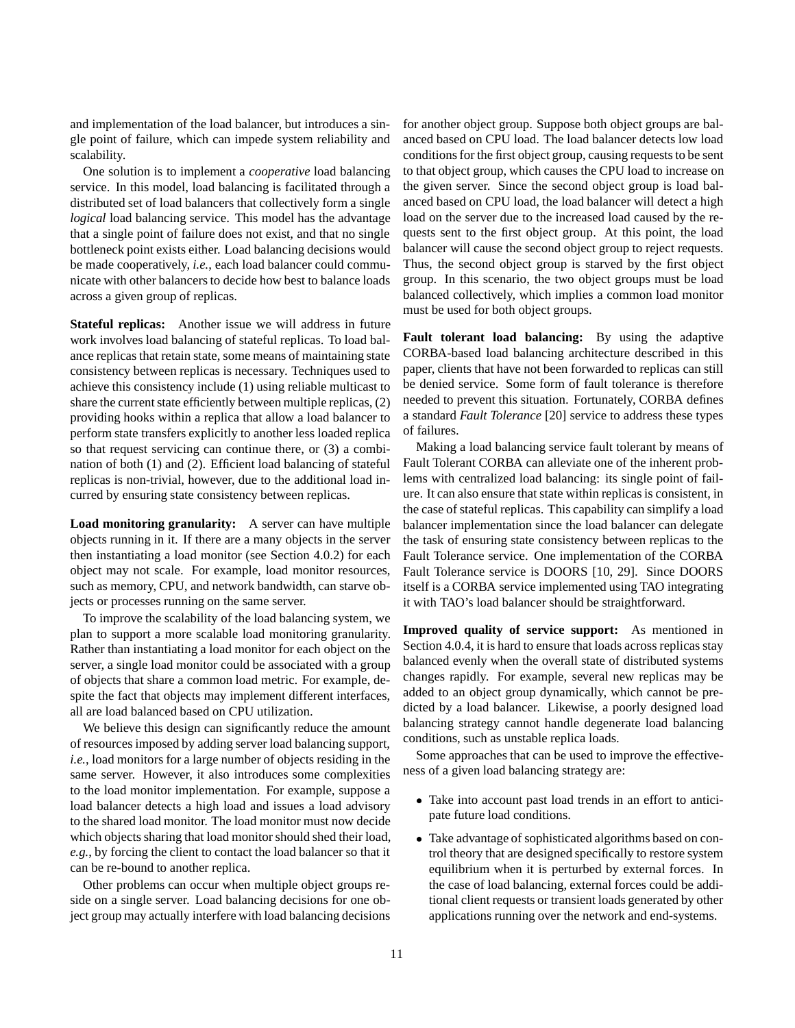and implementation of the load balancer, but introduces a single point of failure, which can impede system reliability and scalability.

One solution is to implement a *cooperative* load balancing service. In this model, load balancing is facilitated through a distributed set of load balancers that collectively form a single *logical* load balancing service. This model has the advantage that a single point of failure does not exist, and that no single bottleneck point exists either. Load balancing decisions would be made cooperatively, *i.e.*, each load balancer could communicate with other balancers to decide how best to balance loads across a given group of replicas.

**Stateful replicas:** Another issue we will address in future work involves load balancing of stateful replicas. To load balance replicas that retain state, some means of maintaining state consistency between replicas is necessary. Techniques used to achieve this consistency include (1) using reliable multicast to share the current state efficiently between multiple replicas, (2) providing hooks within a replica that allow a load balancer to perform state transfers explicitly to another less loaded replica so that request servicing can continue there, or (3) a combination of both (1) and (2). Efficient load balancing of stateful replicas is non-trivial, however, due to the additional load incurred by ensuring state consistency between replicas.

**Load monitoring granularity:** A server can have multiple objects running in it. If there are a many objects in the server then instantiating a load monitor (see Section 4.0.2) for each object may not scale. For example, load monitor resources, such as memory, CPU, and network bandwidth, can starve objects or processes running on the same server.

To improve the scalability of the load balancing system, we plan to support a more scalable load monitoring granularity. Rather than instantiating a load monitor for each object on the server, a single load monitor could be associated with a group of objects that share a common load metric. For example, despite the fact that objects may implement different interfaces, all are load balanced based on CPU utilization.

We believe this design can significantly reduce the amount of resources imposed by adding server load balancing support, *i.e.*, load monitors for a large number of objects residing in the same server. However, it also introduces some complexities to the load monitor implementation. For example, suppose a load balancer detects a high load and issues a load advisory to the shared load monitor. The load monitor must now decide which objects sharing that load monitor should shed their load, *e.g.*, by forcing the client to contact the load balancer so that it can be re-bound to another replica.

Other problems can occur when multiple object groups reside on a single server. Load balancing decisions for one object group may actually interfere with load balancing decisions for another object group. Suppose both object groups are balanced based on CPU load. The load balancer detects low load conditions for the first object group, causing requests to be sent to that object group, which causes the CPU load to increase on the given server. Since the second object group is load balanced based on CPU load, the load balancer will detect a high load on the server due to the increased load caused by the requests sent to the first object group. At this point, the load balancer will cause the second object group to reject requests. Thus, the second object group is starved by the first object group. In this scenario, the two object groups must be load balanced collectively, which implies a common load monitor must be used for both object groups.

**Fault tolerant load balancing:** By using the adaptive CORBA-based load balancing architecture described in this paper, clients that have not been forwarded to replicas can still be denied service. Some form of fault tolerance is therefore needed to prevent this situation. Fortunately, CORBA defines a standard *Fault Tolerance* [20] service to address these types of failures.

Making a load balancing service fault tolerant by means of Fault Tolerant CORBA can alleviate one of the inherent problems with centralized load balancing: its single point of failure. It can also ensure that state within replicas is consistent, in the case of stateful replicas. This capability can simplify a load balancer implementation since the load balancer can delegate the task of ensuring state consistency between replicas to the Fault Tolerance service. One implementation of the CORBA Fault Tolerance service is DOORS [10, 29]. Since DOORS itself is a CORBA service implemented using TAO integrating it with TAO's load balancer should be straightforward.

**Improved quality of service support:** As mentioned in Section 4.0.4, it is hard to ensure that loads across replicas stay balanced evenly when the overall state of distributed systems changes rapidly. For example, several new replicas may be added to an object group dynamically, which cannot be predicted by a load balancer. Likewise, a poorly designed load balancing strategy cannot handle degenerate load balancing conditions, such as unstable replica loads.

Some approaches that can be used to improve the effectiveness of a given load balancing strategy are:

- Take into account past load trends in an effort to anticipate future load conditions.
- Take advantage of sophisticated algorithms based on control theory that are designed specifically to restore system equilibrium when it is perturbed by external forces. In the case of load balancing, external forces could be additional client requests or transient loads generated by other applications running over the network and end-systems.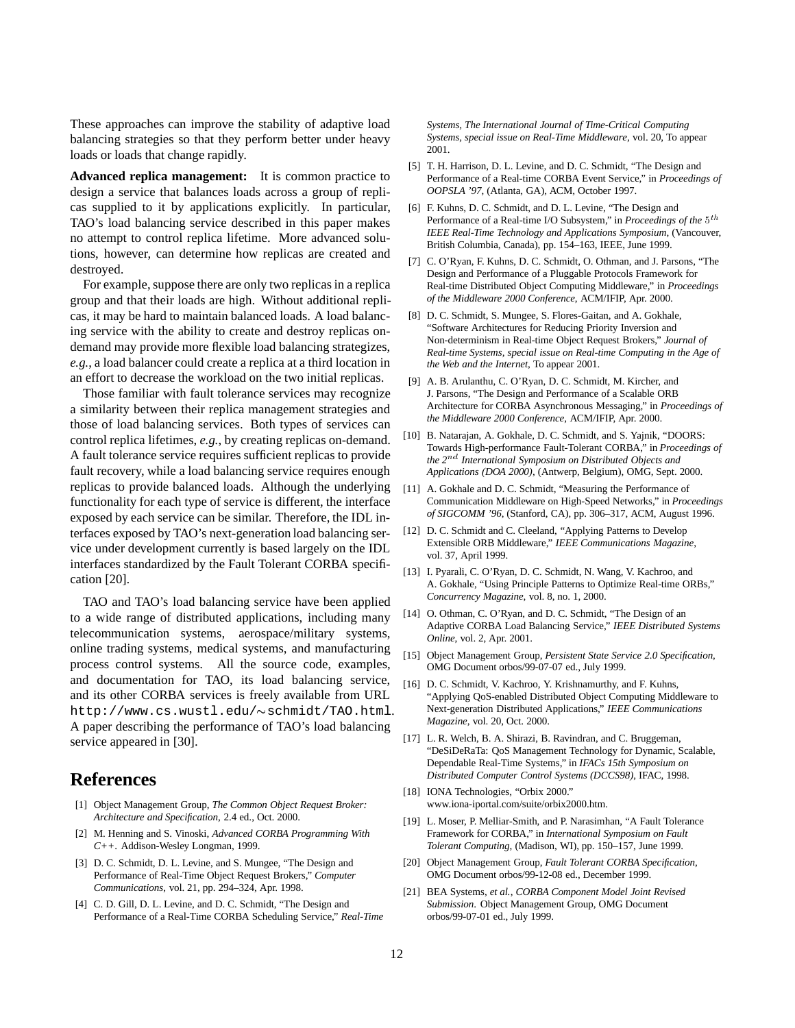These approaches can improve the stability of adaptive load balancing strategies so that they perform better under heavy loads or loads that change rapidly.

**Advanced replica management:** It is common practice to design a service that balances loads across a group of replicas supplied to it by applications explicitly. In particular, TAO's load balancing service described in this paper makes no attempt to control replica lifetime. More advanced solutions, however, can determine how replicas are created and destroyed.

For example, suppose there are only two replicas in a replica group and that their loads are high. Without additional replicas, it may be hard to maintain balanced loads. A load balancing service with the ability to create and destroy replicas ondemand may provide more flexible load balancing strategizes, *e.g.*, a load balancer could create a replica at a third location in an effort to decrease the workload on the two initial replicas.

Those familiar with fault tolerance services may recognize a similarity between their replica management strategies and those of load balancing services. Both types of services can control replica lifetimes, *e.g.*, by creating replicas on-demand. A fault tolerance service requires sufficient replicas to provide fault recovery, while a load balancing service requires enough replicas to provide balanced loads. Although the underlying functionality for each type of service is different, the interface exposed by each service can be similar. Therefore, the IDL interfaces exposed by TAO's next-generation load balancing service under development currently is based largely on the IDL interfaces standardized by the Fault Tolerant CORBA specification [20].

TAO and TAO's load balancing service have been applied to a wide range of distributed applications, including many telecommunication systems, aerospace/military systems, online trading systems, medical systems, and manufacturing process control systems. All the source code, examples, and documentation for TAO, its load balancing service, and its other CORBA services is freely available from URL http://www.cs.wustl.edu/~schmidt/TAO.html. A paper describing the performance of TAO's load balancing service appeared in [30].

## **References**

- [1] Object Management Group, *The Common Object Request Broker: Architecture and Specification*, 2.4 ed., Oct. 2000.
- [2] M. Henning and S. Vinoski, *Advanced CORBA Programming With C++*. Addison-Wesley Longman, 1999.
- [3] D. C. Schmidt, D. L. Levine, and S. Mungee, "The Design and Performance of Real-Time Object Request Brokers," *Computer Communications*, vol. 21, pp. 294–324, Apr. 1998.
- [4] C. D. Gill, D. L. Levine, and D. C. Schmidt, "The Design and Performance of a Real-Time CORBA Scheduling Service," *Real-Time*

*Systems, The International Journal of Time-Critical Computing Systems, special issue on Real-Time Middleware*, vol. 20, To appear 2001.

- [5] T. H. Harrison, D. L. Levine, and D. C. Schmidt, "The Design and Performance of a Real-time CORBA Event Service," in *Proceedings of OOPSLA '97*, (Atlanta, GA), ACM, October 1997.
- [6] F. Kuhns, D. C. Schmidt, and D. L. Levine, "The Design and Performance of a Real-time I/O Subsystem," in *Proceedings of the* <sup>5</sup>th *IEEE Real-Time Technology and Applications Symposium*, (Vancouver, British Columbia, Canada), pp. 154–163, IEEE, June 1999.
- [7] C. O'Ryan, F. Kuhns, D. C. Schmidt, O. Othman, and J. Parsons, "The Design and Performance of a Pluggable Protocols Framework for Real-time Distributed Object Computing Middleware," in *Proceedings of the Middleware 2000 Conference*, ACM/IFIP, Apr. 2000.
- [8] D. C. Schmidt, S. Mungee, S. Flores-Gaitan, and A. Gokhale, "Software Architectures for Reducing Priority Inversion and Non-determinism in Real-time Object Request Brokers," *Journal of Real-time Systems, special issue on Real-time Computing in the Age of the Web and the Internet*, To appear 2001.
- [9] A. B. Arulanthu, C. O'Ryan, D. C. Schmidt, M. Kircher, and J. Parsons, "The Design and Performance of a Scalable ORB Architecture for CORBA Asynchronous Messaging," in *Proceedings of the Middleware 2000 Conference*, ACM/IFIP, Apr. 2000.
- [10] B. Natarajan, A. Gokhale, D. C. Schmidt, and S. Yajnik, "DOORS: Towards High-performance Fault-Tolerant CORBA," in *Proceedings of the 2*nd *International Symposium on Distributed Objects and Applications (DOA 2000)*, (Antwerp, Belgium), OMG, Sept. 2000.
- [11] A. Gokhale and D. C. Schmidt, "Measuring the Performance of Communication Middleware on High-Speed Networks," in *Proceedings of SIGCOMM '96*, (Stanford, CA), pp. 306–317, ACM, August 1996.
- [12] D. C. Schmidt and C. Cleeland, "Applying Patterns to Develop Extensible ORB Middleware," *IEEE Communications Magazine*, vol. 37, April 1999.
- [13] I. Pyarali, C. O'Ryan, D. C. Schmidt, N. Wang, V. Kachroo, and A. Gokhale, "Using Principle Patterns to Optimize Real-time ORBs," *Concurrency Magazine*, vol. 8, no. 1, 2000.
- [14] O. Othman, C. O'Ryan, and D. C. Schmidt, "The Design of an Adaptive CORBA Load Balancing Service," *IEEE Distributed Systems Online*, vol. 2, Apr. 2001.
- [15] Object Management Group, *Persistent State Service 2.0 Specification*, OMG Document orbos/99-07-07 ed., July 1999.
- [16] D. C. Schmidt, V. Kachroo, Y. Krishnamurthy, and F. Kuhns, "Applying QoS-enabled Distributed Object Computing Middleware to Next-generation Distributed Applications," *IEEE Communications Magazine*, vol. 20, Oct. 2000.
- [17] L. R. Welch, B. A. Shirazi, B. Ravindran, and C. Bruggeman, "DeSiDeRaTa: QoS Management Technology for Dynamic, Scalable, Dependable Real-Time Systems," in *IFACs 15th Symposium on Distributed Computer Control Systems (DCCS98)*, IFAC, 1998.
- [18] IONA Technologies, "Orbix 2000." www.iona-iportal.com/suite/orbix2000.htm.
- [19] L. Moser, P. Melliar-Smith, and P. Narasimhan, "A Fault Tolerance Framework for CORBA," in *International Symposium on Fault Tolerant Computing*, (Madison, WI), pp. 150–157, June 1999.
- [20] Object Management Group, *Fault Tolerant CORBA Specification*, OMG Document orbos/99-12-08 ed., December 1999.
- [21] BEA Systems, *et al.*, *CORBA Component Model Joint Revised Submission*. Object Management Group, OMG Document orbos/99-07-01 ed., July 1999.